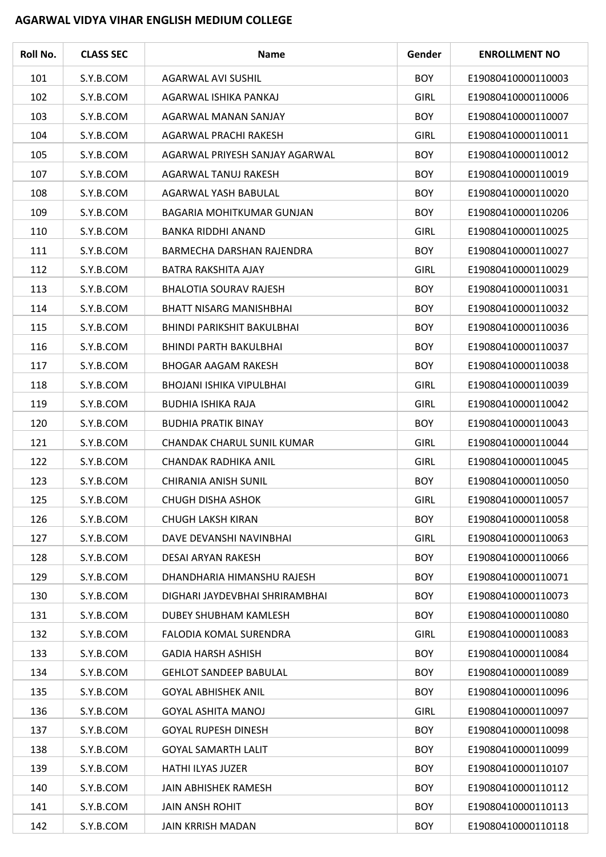## **AGARWAL VIDYA VIHAR ENGLISH MEDIUM COLLEGE**

 $\overline{\phantom{a}}$ 

| Roll No. | <b>CLASS SEC</b> | <b>Name</b>                       | Gender      | <b>ENROLLMENT NO</b> |
|----------|------------------|-----------------------------------|-------------|----------------------|
| 101      | S.Y.B.COM        | AGARWAL AVI SUSHIL                | <b>BOY</b>  | E19080410000110003   |
| 102      | S.Y.B.COM        | AGARWAL ISHIKA PANKAJ             | <b>GIRL</b> | E19080410000110006   |
| 103      | S.Y.B.COM        | AGARWAL MANAN SANJAY              | <b>BOY</b>  | E19080410000110007   |
| 104      | S.Y.B.COM        | AGARWAL PRACHI RAKESH             | <b>GIRL</b> | E19080410000110011   |
| 105      | S.Y.B.COM        | AGARWAL PRIYESH SANJAY AGARWAL    | <b>BOY</b>  | E19080410000110012   |
| 107      | S.Y.B.COM        | AGARWAL TANUJ RAKESH              | <b>BOY</b>  | E19080410000110019   |
| 108      | S.Y.B.COM        | AGARWAL YASH BABULAL              | <b>BOY</b>  | E19080410000110020   |
| 109      | S.Y.B.COM        | BAGARIA MOHITKUMAR GUNJAN         | <b>BOY</b>  | E19080410000110206   |
| 110      | S.Y.B.COM        | <b>BANKA RIDDHI ANAND</b>         | <b>GIRL</b> | E19080410000110025   |
| 111      | S.Y.B.COM        | BARMECHA DARSHAN RAJENDRA         | <b>BOY</b>  | E19080410000110027   |
| 112      | S.Y.B.COM        | <b>BATRA RAKSHITA AJAY</b>        | <b>GIRL</b> | E19080410000110029   |
| 113      | S.Y.B.COM        | <b>BHALOTIA SOURAV RAJESH</b>     | <b>BOY</b>  | E19080410000110031   |
| 114      | S.Y.B.COM        | <b>BHATT NISARG MANISHBHAI</b>    | <b>BOY</b>  | E19080410000110032   |
| 115      | S.Y.B.COM        | <b>BHINDI PARIKSHIT BAKULBHAI</b> | <b>BOY</b>  | E19080410000110036   |
| 116      | S.Y.B.COM        | <b>BHINDI PARTH BAKULBHAI</b>     | <b>BOY</b>  | E19080410000110037   |
| 117      | S.Y.B.COM        | <b>BHOGAR AAGAM RAKESH</b>        | <b>BOY</b>  | E19080410000110038   |
| 118      | S.Y.B.COM        | <b>BHOJANI ISHIKA VIPULBHAI</b>   | <b>GIRL</b> | E19080410000110039   |
| 119      | S.Y.B.COM        | <b>BUDHIA ISHIKA RAJA</b>         | <b>GIRL</b> | E19080410000110042   |
| 120      | S.Y.B.COM        | <b>BUDHIA PRATIK BINAY</b>        | <b>BOY</b>  | E19080410000110043   |
| 121      | S.Y.B.COM        | CHANDAK CHARUL SUNIL KUMAR        | <b>GIRL</b> | E19080410000110044   |
| 122      | S.Y.B.COM        | CHANDAK RADHIKA ANIL              | <b>GIRL</b> | E19080410000110045   |
| 123      | S.Y.B.COM        | <b>CHIRANIA ANISH SUNIL</b>       | <b>BOY</b>  | E19080410000110050   |
| 125      | S.Y.B.COM        | <b>CHUGH DISHA ASHOK</b>          | <b>GIRL</b> | E19080410000110057   |
| 126      | S.Y.B.COM        | <b>CHUGH LAKSH KIRAN</b>          | <b>BOY</b>  | E19080410000110058   |
| 127      | S.Y.B.COM        | DAVE DEVANSHI NAVINBHAI           | <b>GIRL</b> | E19080410000110063   |
| 128      | S.Y.B.COM        | DESAI ARYAN RAKESH                | <b>BOY</b>  | E19080410000110066   |
| 129      | S.Y.B.COM        | DHANDHARIA HIMANSHU RAJESH        | <b>BOY</b>  | E19080410000110071   |
| 130      | S.Y.B.COM        | DIGHARI JAYDEVBHAI SHRIRAMBHAI    | <b>BOY</b>  | E19080410000110073   |
| 131      | S.Y.B.COM        | DUBEY SHUBHAM KAMLESH             | <b>BOY</b>  | E19080410000110080   |
| 132      | S.Y.B.COM        | <b>FALODIA KOMAL SURENDRA</b>     | <b>GIRL</b> | E19080410000110083   |
| 133      | S.Y.B.COM        | <b>GADIA HARSH ASHISH</b>         | <b>BOY</b>  | E19080410000110084   |
| 134      | S.Y.B.COM        | <b>GEHLOT SANDEEP BABULAL</b>     | <b>BOY</b>  | E19080410000110089   |
| 135      | S.Y.B.COM        | <b>GOYAL ABHISHEK ANIL</b>        | <b>BOY</b>  | E19080410000110096   |
| 136      | S.Y.B.COM        | <b>GOYAL ASHITA MANOJ</b>         | <b>GIRL</b> | E19080410000110097   |
| 137      | S.Y.B.COM        | <b>GOYAL RUPESH DINESH</b>        | <b>BOY</b>  | E19080410000110098   |
| 138      | S.Y.B.COM        | <b>GOYAL SAMARTH LALIT</b>        | <b>BOY</b>  | E19080410000110099   |
| 139      | S.Y.B.COM        | HATHI ILYAS JUZER                 | <b>BOY</b>  | E19080410000110107   |
| 140      | S.Y.B.COM        | JAIN ABHISHEK RAMESH              | <b>BOY</b>  | E19080410000110112   |
| 141      | S.Y.B.COM        | <b>JAIN ANSH ROHIT</b>            | <b>BOY</b>  | E19080410000110113   |
| 142      | S.Y.B.COM        | <b>JAIN KRRISH MADAN</b>          | <b>BOY</b>  | E19080410000110118   |

 $\overline{a}$ 

 $\sim$ 

L,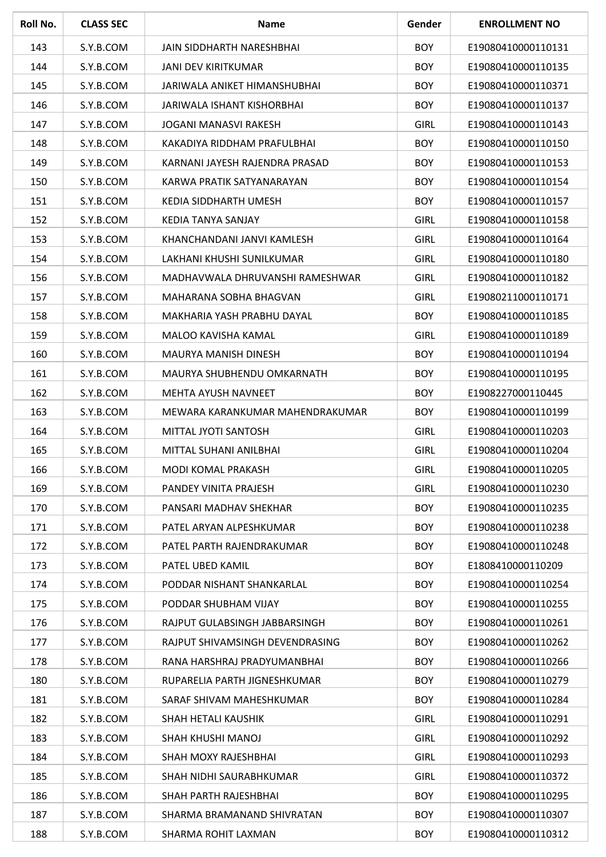| Roll No. | <b>CLASS SEC</b> | <b>Name</b>                     | Gender      | <b>ENROLLMENT NO</b> |
|----------|------------------|---------------------------------|-------------|----------------------|
| 143      | S.Y.B.COM        | JAIN SIDDHARTH NARESHBHAI       | <b>BOY</b>  | E19080410000110131   |
| 144      | S.Y.B.COM        | <b>JANI DEV KIRITKUMAR</b>      | <b>BOY</b>  | E19080410000110135   |
| 145      | S.Y.B.COM        | JARIWALA ANIKET HIMANSHUBHAI    | <b>BOY</b>  | E19080410000110371   |
| 146      | S.Y.B.COM        | JARIWALA ISHANT KISHORBHAI      | <b>BOY</b>  | E19080410000110137   |
| 147      | S.Y.B.COM        | JOGANI MANASVI RAKESH           | <b>GIRL</b> | E19080410000110143   |
| 148      | S.Y.B.COM        | KAKADIYA RIDDHAM PRAFULBHAI     | <b>BOY</b>  | E19080410000110150   |
| 149      | S.Y.B.COM        | KARNANI JAYESH RAJENDRA PRASAD  | <b>BOY</b>  | E19080410000110153   |
| 150      | S.Y.B.COM        | KARWA PRATIK SATYANARAYAN       | <b>BOY</b>  | E19080410000110154   |
| 151      | S.Y.B.COM        | KEDIA SIDDHARTH UMESH           | <b>BOY</b>  | E19080410000110157   |
| 152      | S.Y.B.COM        | KEDIA TANYA SANJAY              | <b>GIRL</b> | E19080410000110158   |
| 153      | S.Y.B.COM        | KHANCHANDANI JANVI KAMLESH      | <b>GIRL</b> | E19080410000110164   |
| 154      | S.Y.B.COM        | LAKHANI KHUSHI SUNILKUMAR       | <b>GIRL</b> | E19080410000110180   |
| 156      | S.Y.B.COM        | MADHAVWALA DHRUVANSHI RAMESHWAR | <b>GIRL</b> | E19080410000110182   |
| 157      | S.Y.B.COM        | MAHARANA SOBHA BHAGVAN          | <b>GIRL</b> | E19080211000110171   |
| 158      | S.Y.B.COM        | MAKHARIA YASH PRABHU DAYAL      | <b>BOY</b>  | E19080410000110185   |
| 159      | S.Y.B.COM        | MALOO KAVISHA KAMAL             | <b>GIRL</b> | E19080410000110189   |
| 160      | S.Y.B.COM        | MAURYA MANISH DINESH            | <b>BOY</b>  | E19080410000110194   |
| 161      | S.Y.B.COM        | MAURYA SHUBHENDU OMKARNATH      | <b>BOY</b>  | E19080410000110195   |
| 162      | S.Y.B.COM        | <b>MEHTA AYUSH NAVNEET</b>      | <b>BOY</b>  | E1908227000110445    |
| 163      | S.Y.B.COM        | MEWARA KARANKUMAR MAHENDRAKUMAR | <b>BOY</b>  | E19080410000110199   |
| 164      | S.Y.B.COM        | MITTAL JYOTI SANTOSH            | <b>GIRL</b> | E19080410000110203   |
| 165      | S.Y.B.COM        | MITTAL SUHANI ANILBHAI          | <b>GIRL</b> | E19080410000110204   |
| 166      | S.Y.B.COM        | MODI KOMAL PRAKASH              | <b>GIRL</b> | E19080410000110205   |
| 169      | S.Y.B.COM        | PANDEY VINITA PRAJESH           | <b>GIRL</b> | E19080410000110230   |
| 170      | S.Y.B.COM        | PANSARI MADHAV SHEKHAR          | <b>BOY</b>  | E19080410000110235   |
| 171      | S.Y.B.COM        | PATEL ARYAN ALPESHKUMAR         | <b>BOY</b>  | E19080410000110238   |
| 172      | S.Y.B.COM        | PATEL PARTH RAJENDRAKUMAR       | <b>BOY</b>  | E19080410000110248   |
| 173      | S.Y.B.COM        | PATEL UBED KAMIL                | <b>BOY</b>  | E1808410000110209    |
| 174      | S.Y.B.COM        | PODDAR NISHANT SHANKARLAL       | <b>BOY</b>  | E19080410000110254   |
| 175      | S.Y.B.COM        | PODDAR SHUBHAM VIJAY            | <b>BOY</b>  | E19080410000110255   |
| 176      | S.Y.B.COM        | RAJPUT GULABSINGH JABBARSINGH   | <b>BOY</b>  | E19080410000110261   |
| 177      | S.Y.B.COM        | RAJPUT SHIVAMSINGH DEVENDRASING | <b>BOY</b>  | E19080410000110262   |
| 178      | S.Y.B.COM        | RANA HARSHRAJ PRADYUMANBHAI     | <b>BOY</b>  | E19080410000110266   |
| 180      | S.Y.B.COM        | RUPARELIA PARTH JIGNESHKUMAR    | <b>BOY</b>  | E19080410000110279   |
| 181      | S.Y.B.COM        | SARAF SHIVAM MAHESHKUMAR        | <b>BOY</b>  | E19080410000110284   |
| 182      | S.Y.B.COM        | SHAH HETALI KAUSHIK             | <b>GIRL</b> | E19080410000110291   |
| 183      | S.Y.B.COM        | SHAH KHUSHI MANOJ               | <b>GIRL</b> | E19080410000110292   |
| 184      | S.Y.B.COM        | SHAH MOXY RAJESHBHAI            | <b>GIRL</b> | E19080410000110293   |
| 185      | S.Y.B.COM        | SHAH NIDHI SAURABHKUMAR         | <b>GIRL</b> | E19080410000110372   |
| 186      | S.Y.B.COM        | SHAH PARTH RAJESHBHAI           | <b>BOY</b>  | E19080410000110295   |
| 187      | S.Y.B.COM        | SHARMA BRAMANAND SHIVRATAN      | <b>BOY</b>  | E19080410000110307   |
| 188      | S.Y.B.COM        | SHARMA ROHIT LAXMAN             | <b>BOY</b>  | E19080410000110312   |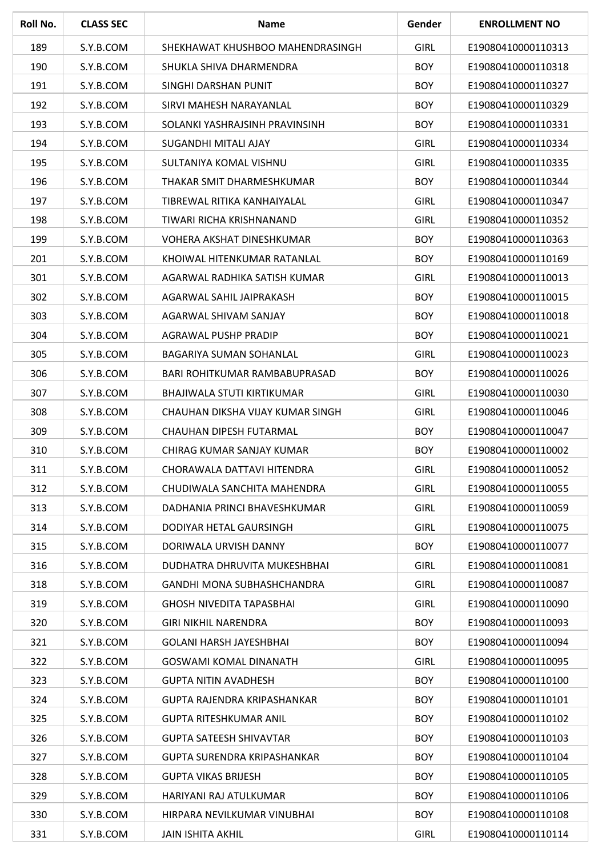| Roll No. | <b>CLASS SEC</b> | <b>Name</b>                      | Gender      | <b>ENROLLMENT NO</b> |
|----------|------------------|----------------------------------|-------------|----------------------|
| 189      | S.Y.B.COM        | SHEKHAWAT KHUSHBOO MAHENDRASINGH | <b>GIRL</b> | E19080410000110313   |
| 190      | S.Y.B.COM        | SHUKLA SHIVA DHARMENDRA          | <b>BOY</b>  | E19080410000110318   |
| 191      | S.Y.B.COM        | SINGHI DARSHAN PUNIT             | <b>BOY</b>  | E19080410000110327   |
| 192      | S.Y.B.COM        | SIRVI MAHESH NARAYANLAL          | <b>BOY</b>  | E19080410000110329   |
| 193      | S.Y.B.COM        | SOLANKI YASHRAJSINH PRAVINSINH   | <b>BOY</b>  | E19080410000110331   |
| 194      | S.Y.B.COM        | SUGANDHI MITALI AJAY             | <b>GIRL</b> | E19080410000110334   |
| 195      | S.Y.B.COM        | SULTANIYA KOMAL VISHNU           | <b>GIRL</b> | E19080410000110335   |
| 196      | S.Y.B.COM        | THAKAR SMIT DHARMESHKUMAR        | <b>BOY</b>  | E19080410000110344   |
| 197      | S.Y.B.COM        | TIBREWAL RITIKA KANHAIYALAL      | <b>GIRL</b> | E19080410000110347   |
| 198      | S.Y.B.COM        | TIWARI RICHA KRISHNANAND         | <b>GIRL</b> | E19080410000110352   |
| 199      | S.Y.B.COM        | VOHERA AKSHAT DINESHKUMAR        | <b>BOY</b>  | E19080410000110363   |
| 201      | S.Y.B.COM        | KHOIWAL HITENKUMAR RATANLAL      | <b>BOY</b>  | E19080410000110169   |
| 301      | S.Y.B.COM        | AGARWAL RADHIKA SATISH KUMAR     | <b>GIRL</b> | E19080410000110013   |
| 302      | S.Y.B.COM        | AGARWAL SAHIL JAIPRAKASH         | <b>BOY</b>  | E19080410000110015   |
| 303      | S.Y.B.COM        | AGARWAL SHIVAM SANJAY            | <b>BOY</b>  | E19080410000110018   |
| 304      | S.Y.B.COM        | AGRAWAL PUSHP PRADIP             | <b>BOY</b>  | E19080410000110021   |
| 305      | S.Y.B.COM        | BAGARIYA SUMAN SOHANLAL          | <b>GIRL</b> | E19080410000110023   |
| 306      | S.Y.B.COM        | BARI ROHITKUMAR RAMBABUPRASAD    | <b>BOY</b>  | E19080410000110026   |
| 307      | S.Y.B.COM        | BHAJIWALA STUTI KIRTIKUMAR       | <b>GIRL</b> | E19080410000110030   |
| 308      | S.Y.B.COM        | CHAUHAN DIKSHA VIJAY KUMAR SINGH | <b>GIRL</b> | E19080410000110046   |
| 309      | S.Y.B.COM        | CHAUHAN DIPESH FUTARMAL          | <b>BOY</b>  | E19080410000110047   |
| 310      | S.Y.B.COM        | CHIRAG KUMAR SANJAY KUMAR        | <b>BOY</b>  | E19080410000110002   |
| 311      | S.Y.B.COM        | CHORAWALA DATTAVI HITENDRA       | <b>GIRL</b> | E19080410000110052   |
| 312      | S.Y.B.COM        | CHUDIWALA SANCHITA MAHENDRA      | <b>GIRL</b> | E19080410000110055   |
| 313      | S.Y.B.COM        | DADHANIA PRINCI BHAVESHKUMAR     | <b>GIRL</b> | E19080410000110059   |
| 314      | S.Y.B.COM        | DODIYAR HETAL GAURSINGH          | <b>GIRL</b> | E19080410000110075   |
| 315      | S.Y.B.COM        | DORIWALA URVISH DANNY            | <b>BOY</b>  | E19080410000110077   |
| 316      | S.Y.B.COM        | DUDHATRA DHRUVITA MUKESHBHAI     | <b>GIRL</b> | E19080410000110081   |
| 318      | S.Y.B.COM        | GANDHI MONA SUBHASHCHANDRA       | <b>GIRL</b> | E19080410000110087   |
| 319      | S.Y.B.COM        | <b>GHOSH NIVEDITA TAPASBHAI</b>  | <b>GIRL</b> | E19080410000110090   |
| 320      | S.Y.B.COM        | <b>GIRI NIKHIL NARENDRA</b>      | <b>BOY</b>  | E19080410000110093   |
| 321      | S.Y.B.COM        | <b>GOLANI HARSH JAYESHBHAI</b>   | <b>BOY</b>  | E19080410000110094   |
| 322      | S.Y.B.COM        | <b>GOSWAMI KOMAL DINANATH</b>    | <b>GIRL</b> | E19080410000110095   |
| 323      | S.Y.B.COM        | <b>GUPTA NITIN AVADHESH</b>      | <b>BOY</b>  | E19080410000110100   |
| 324      | S.Y.B.COM        | GUPTA RAJENDRA KRIPASHANKAR      | <b>BOY</b>  | E19080410000110101   |
| 325      | S.Y.B.COM        | <b>GUPTA RITESHKUMAR ANIL</b>    | <b>BOY</b>  | E19080410000110102   |
| 326      | S.Y.B.COM        | <b>GUPTA SATEESH SHIVAVTAR</b>   | <b>BOY</b>  | E19080410000110103   |
| 327      | S.Y.B.COM        | GUPTA SURENDRA KRIPASHANKAR      | <b>BOY</b>  | E19080410000110104   |
| 328      | S.Y.B.COM        | <b>GUPTA VIKAS BRIJESH</b>       | <b>BOY</b>  | E19080410000110105   |
| 329      | S.Y.B.COM        | HARIYANI RAJ ATULKUMAR           | <b>BOY</b>  | E19080410000110106   |
| 330      | S.Y.B.COM        | HIRPARA NEVILKUMAR VINUBHAI      | <b>BOY</b>  | E19080410000110108   |
| 331      | S.Y.B.COM        | <b>JAIN ISHITA AKHIL</b>         | <b>GIRL</b> | E19080410000110114   |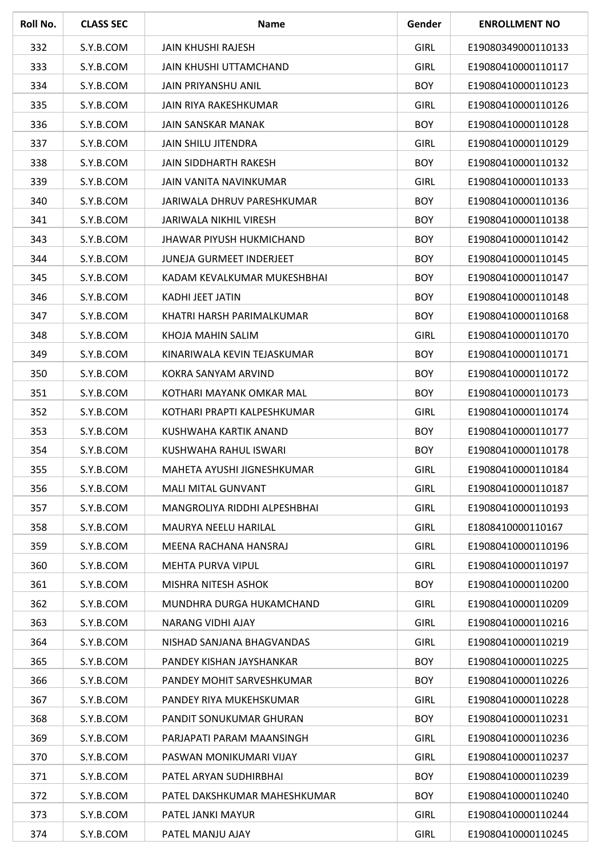| Roll No. | <b>CLASS SEC</b> | <b>Name</b>                     | Gender      | <b>ENROLLMENT NO</b> |
|----------|------------------|---------------------------------|-------------|----------------------|
| 332      | S.Y.B.COM        | <b>JAIN KHUSHI RAJESH</b>       | <b>GIRL</b> | E19080349000110133   |
| 333      | S.Y.B.COM        | <b>JAIN KHUSHI UTTAMCHAND</b>   | <b>GIRL</b> | E19080410000110117   |
| 334      | S.Y.B.COM        | <b>JAIN PRIYANSHU ANIL</b>      | <b>BOY</b>  | E19080410000110123   |
| 335      | S.Y.B.COM        | JAIN RIYA RAKESHKUMAR           | <b>GIRL</b> | E19080410000110126   |
| 336      | S.Y.B.COM        | <b>JAIN SANSKAR MANAK</b>       | <b>BOY</b>  | E19080410000110128   |
| 337      | S.Y.B.COM        | JAIN SHILU JITENDRA             | <b>GIRL</b> | E19080410000110129   |
| 338      | S.Y.B.COM        | <b>JAIN SIDDHARTH RAKESH</b>    | <b>BOY</b>  | E19080410000110132   |
| 339      | S.Y.B.COM        | JAIN VANITA NAVINKUMAR          | <b>GIRL</b> | E19080410000110133   |
| 340      | S.Y.B.COM        | JARIWALA DHRUV PARESHKUMAR      | <b>BOY</b>  | E19080410000110136   |
| 341      | S.Y.B.COM        | <b>JARIWALA NIKHIL VIRESH</b>   | <b>BOY</b>  | E19080410000110138   |
| 343      | S.Y.B.COM        | <b>JHAWAR PIYUSH HUKMICHAND</b> | <b>BOY</b>  | E19080410000110142   |
| 344      | S.Y.B.COM        | <b>JUNEJA GURMEET INDERJEET</b> | <b>BOY</b>  | E19080410000110145   |
| 345      | S.Y.B.COM        | KADAM KEVALKUMAR MUKESHBHAI     | <b>BOY</b>  | E19080410000110147   |
| 346      | S.Y.B.COM        | <b>KADHI JEET JATIN</b>         | <b>BOY</b>  | E19080410000110148   |
| 347      | S.Y.B.COM        | KHATRI HARSH PARIMALKUMAR       | <b>BOY</b>  | E19080410000110168   |
| 348      | S.Y.B.COM        | KHOJA MAHIN SALIM               | <b>GIRL</b> | E19080410000110170   |
| 349      | S.Y.B.COM        | KINARIWALA KEVIN TEJASKUMAR     | <b>BOY</b>  | E19080410000110171   |
| 350      | S.Y.B.COM        | KOKRA SANYAM ARVIND             | <b>BOY</b>  | E19080410000110172   |
| 351      | S.Y.B.COM        | KOTHARI MAYANK OMKAR MAL        | <b>BOY</b>  | E19080410000110173   |
| 352      | S.Y.B.COM        | KOTHARI PRAPTI KALPESHKUMAR     | <b>GIRL</b> | E19080410000110174   |
| 353      | S.Y.B.COM        | KUSHWAHA KARTIK ANAND           | <b>BOY</b>  | E19080410000110177   |
| 354      | S.Y.B.COM        | KUSHWAHA RAHUL ISWARI           | <b>BOY</b>  | E19080410000110178   |
| 355      | S.Y.B.COM        | MAHETA AYUSHI JIGNESHKUMAR      | <b>GIRL</b> | E19080410000110184   |
| 356      | S.Y.B.COM        | <b>MALI MITAL GUNVANT</b>       | <b>GIRL</b> | E19080410000110187   |
| 357      | S.Y.B.COM        | MANGROLIYA RIDDHI ALPESHBHAI    | <b>GIRL</b> | E19080410000110193   |
| 358      | S.Y.B.COM        | MAURYA NEELU HARILAL            | <b>GIRL</b> | E1808410000110167    |
| 359      | S.Y.B.COM        | MEENA RACHANA HANSRAJ           | <b>GIRL</b> | E19080410000110196   |
| 360      | S.Y.B.COM        | MEHTA PURVA VIPUL               | <b>GIRL</b> | E19080410000110197   |
| 361      | S.Y.B.COM        | MISHRA NITESH ASHOK             | <b>BOY</b>  | E19080410000110200   |
| 362      | S.Y.B.COM        | MUNDHRA DURGA HUKAMCHAND        | <b>GIRL</b> | E19080410000110209   |
| 363      | S.Y.B.COM        | NARANG VIDHI AJAY               | <b>GIRL</b> | E19080410000110216   |
| 364      | S.Y.B.COM        | NISHAD SANJANA BHAGVANDAS       | <b>GIRL</b> | E19080410000110219   |
| 365      | S.Y.B.COM        | PANDEY KISHAN JAYSHANKAR        | <b>BOY</b>  | E19080410000110225   |
| 366      | S.Y.B.COM        | PANDEY MOHIT SARVESHKUMAR       | <b>BOY</b>  | E19080410000110226   |
| 367      | S.Y.B.COM        | PANDEY RIYA MUKEHSKUMAR         | <b>GIRL</b> | E19080410000110228   |
| 368      | S.Y.B.COM        | PANDIT SONUKUMAR GHURAN         | <b>BOY</b>  | E19080410000110231   |
| 369      | S.Y.B.COM        | PARJAPATI PARAM MAANSINGH       | <b>GIRL</b> | E19080410000110236   |
| 370      | S.Y.B.COM        | PASWAN MONIKUMARI VIJAY         | <b>GIRL</b> | E19080410000110237   |
| 371      | S.Y.B.COM        | PATEL ARYAN SUDHIRBHAI          | <b>BOY</b>  | E19080410000110239   |
| 372      | S.Y.B.COM        | PATEL DAKSHKUMAR MAHESHKUMAR    | <b>BOY</b>  | E19080410000110240   |
| 373      | S.Y.B.COM        | PATEL JANKI MAYUR               | <b>GIRL</b> | E19080410000110244   |
| 374      | S.Y.B.COM        | PATEL MANJU AJAY                | <b>GIRL</b> | E19080410000110245   |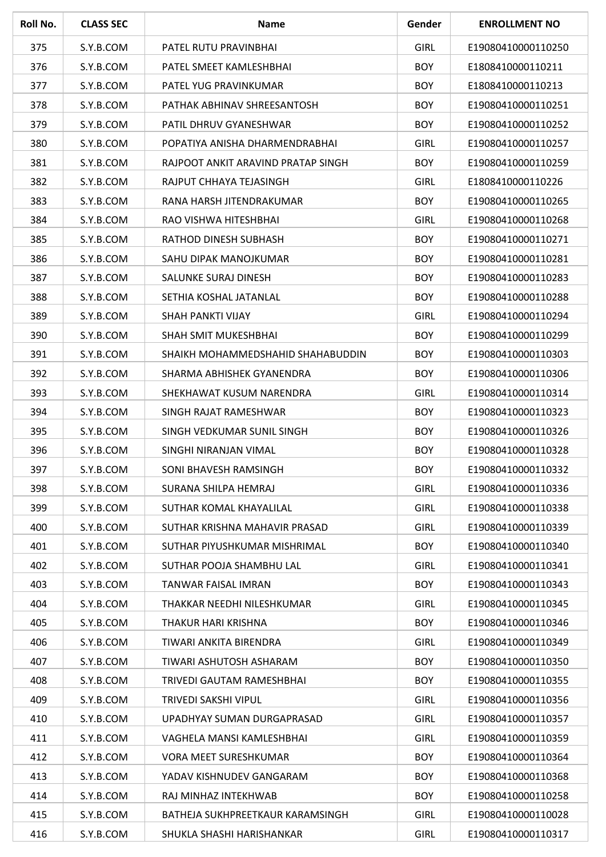| Roll No. | <b>CLASS SEC</b> | <b>Name</b>                        | Gender      | <b>ENROLLMENT NO</b> |
|----------|------------------|------------------------------------|-------------|----------------------|
| 375      | S.Y.B.COM        | PATEL RUTU PRAVINBHAI              | <b>GIRL</b> | E19080410000110250   |
| 376      | S.Y.B.COM        | PATEL SMEET KAMLESHBHAI            | <b>BOY</b>  | E1808410000110211    |
| 377      | S.Y.B.COM        | PATEL YUG PRAVINKUMAR              | <b>BOY</b>  | E1808410000110213    |
| 378      | S.Y.B.COM        | PATHAK ABHINAV SHREESANTOSH        | <b>BOY</b>  | E19080410000110251   |
| 379      | S.Y.B.COM        | PATIL DHRUV GYANESHWAR             | <b>BOY</b>  | E19080410000110252   |
| 380      | S.Y.B.COM        | POPATIYA ANISHA DHARMENDRABHAI     | <b>GIRL</b> | E19080410000110257   |
| 381      | S.Y.B.COM        | RAJPOOT ANKIT ARAVIND PRATAP SINGH | <b>BOY</b>  | E19080410000110259   |
| 382      | S.Y.B.COM        | RAJPUT CHHAYA TEJASINGH            | <b>GIRL</b> | E1808410000110226    |
| 383      | S.Y.B.COM        | RANA HARSH JITENDRAKUMAR           | <b>BOY</b>  | E19080410000110265   |
| 384      | S.Y.B.COM        | RAO VISHWA HITESHBHAI              | <b>GIRL</b> | E19080410000110268   |
| 385      | S.Y.B.COM        | RATHOD DINESH SUBHASH              | <b>BOY</b>  | E19080410000110271   |
| 386      | S.Y.B.COM        | SAHU DIPAK MANOJKUMAR              | <b>BOY</b>  | E19080410000110281   |
| 387      | S.Y.B.COM        | SALUNKE SURAJ DINESH               | <b>BOY</b>  | E19080410000110283   |
| 388      | S.Y.B.COM        | SETHIA KOSHAL JATANLAL             | <b>BOY</b>  | E19080410000110288   |
| 389      | S.Y.B.COM        | SHAH PANKTI VIJAY                  | <b>GIRL</b> | E19080410000110294   |
| 390      | S.Y.B.COM        | SHAH SMIT MUKESHBHAI               | <b>BOY</b>  | E19080410000110299   |
| 391      | S.Y.B.COM        | SHAIKH MOHAMMEDSHAHID SHAHABUDDIN  | <b>BOY</b>  | E19080410000110303   |
| 392      | S.Y.B.COM        | SHARMA ABHISHEK GYANENDRA          | <b>BOY</b>  | E19080410000110306   |
| 393      | S.Y.B.COM        | SHEKHAWAT KUSUM NARENDRA           | <b>GIRL</b> | E19080410000110314   |
| 394      | S.Y.B.COM        | SINGH RAJAT RAMESHWAR              | <b>BOY</b>  | E19080410000110323   |
| 395      | S.Y.B.COM        | SINGH VEDKUMAR SUNIL SINGH         | <b>BOY</b>  | E19080410000110326   |
| 396      | S.Y.B.COM        | SINGHI NIRANJAN VIMAL              | <b>BOY</b>  | E19080410000110328   |
| 397      | S.Y.B.COM        | SONI BHAVESH RAMSINGH              | <b>BOY</b>  | E19080410000110332   |
| 398      | S.Y.B.COM        | SURANA SHILPA HEMRAJ               | <b>GIRL</b> | E19080410000110336   |
| 399      | S.Y.B.COM        | SUTHAR KOMAL KHAYALILAL            | <b>GIRL</b> | E19080410000110338   |
| 400      | S.Y.B.COM        | SUTHAR KRISHNA MAHAVIR PRASAD      | <b>GIRL</b> | E19080410000110339   |
| 401      | S.Y.B.COM        | SUTHAR PIYUSHKUMAR MISHRIMAL       | <b>BOY</b>  | E19080410000110340   |
| 402      | S.Y.B.COM        | SUTHAR POOJA SHAMBHU LAL           | <b>GIRL</b> | E19080410000110341   |
| 403      | S.Y.B.COM        | TANWAR FAISAL IMRAN                | <b>BOY</b>  | E19080410000110343   |
| 404      | S.Y.B.COM        | THAKKAR NEEDHI NILESHKUMAR         | <b>GIRL</b> | E19080410000110345   |
| 405      | S.Y.B.COM        | THAKUR HARI KRISHNA                | <b>BOY</b>  | E19080410000110346   |
| 406      | S.Y.B.COM        | TIWARI ANKITA BIRENDRA             | <b>GIRL</b> | E19080410000110349   |
| 407      | S.Y.B.COM        | TIWARI ASHUTOSH ASHARAM            | <b>BOY</b>  | E19080410000110350   |
| 408      | S.Y.B.COM        | TRIVEDI GAUTAM RAMESHBHAI          | <b>BOY</b>  | E19080410000110355   |
| 409      | S.Y.B.COM        | TRIVEDI SAKSHI VIPUL               | <b>GIRL</b> | E19080410000110356   |
| 410      | S.Y.B.COM        | UPADHYAY SUMAN DURGAPRASAD         | <b>GIRL</b> | E19080410000110357   |
| 411      | S.Y.B.COM        | VAGHELA MANSI KAMLESHBHAI          | <b>GIRL</b> | E19080410000110359   |
| 412      | S.Y.B.COM        | <b>VORA MEET SURESHKUMAR</b>       | <b>BOY</b>  | E19080410000110364   |
| 413      | S.Y.B.COM        | YADAV KISHNUDEV GANGARAM           | <b>BOY</b>  | E19080410000110368   |
| 414      | S.Y.B.COM        | RAJ MINHAZ INTEKHWAB               | <b>BOY</b>  | E19080410000110258   |
| 415      | S.Y.B.COM        | BATHEJA SUKHPREETKAUR KARAMSINGH   | <b>GIRL</b> | E19080410000110028   |
| 416      | S.Y.B.COM        | SHUKLA SHASHI HARISHANKAR          | <b>GIRL</b> | E19080410000110317   |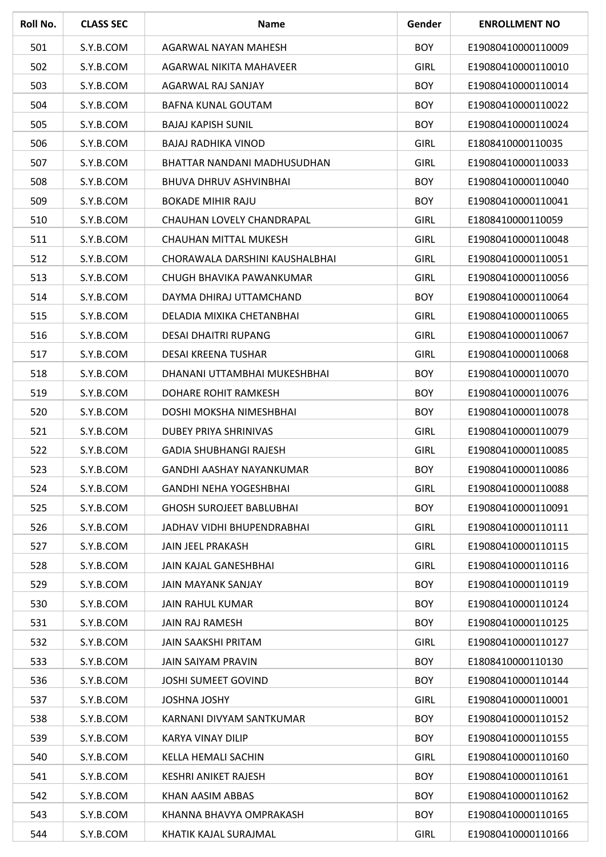| Roll No. | <b>CLASS SEC</b> | <b>Name</b>                     | Gender      | <b>ENROLLMENT NO</b> |
|----------|------------------|---------------------------------|-------------|----------------------|
| 501      | S.Y.B.COM        | AGARWAL NAYAN MAHESH            | <b>BOY</b>  | E19080410000110009   |
| 502      | S.Y.B.COM        | <b>AGARWAL NIKITA MAHAVEER</b>  | GIRL        | E19080410000110010   |
| 503      | S.Y.B.COM        | AGARWAL RAJ SANJAY              | <b>BOY</b>  | E19080410000110014   |
| 504      | S.Y.B.COM        | BAFNA KUNAL GOUTAM              | <b>BOY</b>  | E19080410000110022   |
| 505      | S.Y.B.COM        | <b>BAJAJ KAPISH SUNIL</b>       | <b>BOY</b>  | E19080410000110024   |
| 506      | S.Y.B.COM        | <b>BAJAJ RADHIKA VINOD</b>      | <b>GIRL</b> | E1808410000110035    |
| 507      | S.Y.B.COM        | BHATTAR NANDANI MADHUSUDHAN     | <b>GIRL</b> | E19080410000110033   |
| 508      | S.Y.B.COM        | BHUVA DHRUV ASHVINBHAI          | <b>BOY</b>  | E19080410000110040   |
| 509      | S.Y.B.COM        | <b>BOKADE MIHIR RAJU</b>        | <b>BOY</b>  | E19080410000110041   |
| 510      | S.Y.B.COM        | CHAUHAN LOVELY CHANDRAPAL       | <b>GIRL</b> | E1808410000110059    |
| 511      | S.Y.B.COM        | CHAUHAN MITTAL MUKESH           | <b>GIRL</b> | E19080410000110048   |
| 512      | S.Y.B.COM        | CHORAWALA DARSHINI KAUSHALBHAI  | <b>GIRL</b> | E19080410000110051   |
| 513      | S.Y.B.COM        | CHUGH BHAVIKA PAWANKUMAR        | <b>GIRL</b> | E19080410000110056   |
| 514      | S.Y.B.COM        | DAYMA DHIRAJ UTTAMCHAND         | <b>BOY</b>  | E19080410000110064   |
| 515      | S.Y.B.COM        | DELADIA MIXIKA CHETANBHAI       | <b>GIRL</b> | E19080410000110065   |
| 516      | S.Y.B.COM        | DESAI DHAITRI RUPANG            | <b>GIRL</b> | E19080410000110067   |
| 517      | S.Y.B.COM        | <b>DESAI KREENA TUSHAR</b>      | <b>GIRL</b> | E19080410000110068   |
| 518      | S.Y.B.COM        | DHANANI UTTAMBHAI MUKESHBHAI    | <b>BOY</b>  | E19080410000110070   |
| 519      | S.Y.B.COM        | DOHARE ROHIT RAMKESH            | <b>BOY</b>  | E19080410000110076   |
| 520      | S.Y.B.COM        | DOSHI MOKSHA NIMESHBHAI         | <b>BOY</b>  | E19080410000110078   |
| 521      | S.Y.B.COM        | <b>DUBEY PRIYA SHRINIVAS</b>    | <b>GIRL</b> | E19080410000110079   |
| 522      | S.Y.B.COM        | <b>GADIA SHUBHANGI RAJESH</b>   | <b>GIRL</b> | E19080410000110085   |
| 523      | S.Y.B.COM        | GANDHI AASHAY NAYANKUMAR        | <b>BOY</b>  | E19080410000110086   |
| 524      | S.Y.B.COM        | <b>GANDHI NEHA YOGESHBHAI</b>   | <b>GIRL</b> | E19080410000110088   |
| 525      | S.Y.B.COM        | <b>GHOSH SUROJEET BABLUBHAI</b> | <b>BOY</b>  | E19080410000110091   |
| 526      | S.Y.B.COM        | JADHAV VIDHI BHUPENDRABHAI      | <b>GIRL</b> | E19080410000110111   |
| 527      | S.Y.B.COM        | JAIN JEEL PRAKASH               | <b>GIRL</b> | E19080410000110115   |
| 528      | S.Y.B.COM        | JAIN KAJAL GANESHBHAI           | <b>GIRL</b> | E19080410000110116   |
| 529      | S.Y.B.COM        | JAIN MAYANK SANJAY              | <b>BOY</b>  | E19080410000110119   |
| 530      | S.Y.B.COM        | JAIN RAHUL KUMAR                | <b>BOY</b>  | E19080410000110124   |
| 531      | S.Y.B.COM        | <b>JAIN RAJ RAMESH</b>          | <b>BOY</b>  | E19080410000110125   |
| 532      | S.Y.B.COM        | <b>JAIN SAAKSHI PRITAM</b>      | <b>GIRL</b> | E19080410000110127   |
| 533      | S.Y.B.COM        | <b>JAIN SAIYAM PRAVIN</b>       | <b>BOY</b>  | E1808410000110130    |
| 536      | S.Y.B.COM        | JOSHI SUMEET GOVIND             | <b>BOY</b>  | E19080410000110144   |
| 537      | S.Y.B.COM        | JOSHNA JOSHY                    | <b>GIRL</b> | E19080410000110001   |
| 538      | S.Y.B.COM        | KARNANI DIVYAM SANTKUMAR        | <b>BOY</b>  | E19080410000110152   |
| 539      | S.Y.B.COM        | KARYA VINAY DILIP               | <b>BOY</b>  | E19080410000110155   |
| 540      | S.Y.B.COM        | KELLA HEMALI SACHIN             | <b>GIRL</b> | E19080410000110160   |
| 541      | S.Y.B.COM        | KESHRI ANIKET RAJESH            | <b>BOY</b>  | E19080410000110161   |
| 542      | S.Y.B.COM        | KHAN AASIM ABBAS                | <b>BOY</b>  | E19080410000110162   |
| 543      | S.Y.B.COM        | KHANNA BHAVYA OMPRAKASH         | <b>BOY</b>  | E19080410000110165   |
| 544      | S.Y.B.COM        | KHATIK KAJAL SURAJMAL           | <b>GIRL</b> | E19080410000110166   |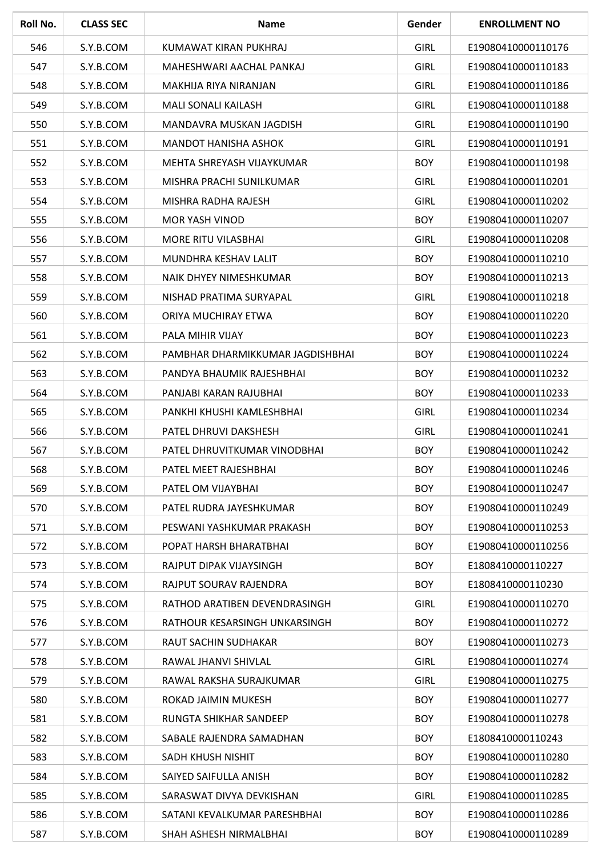| Roll No. | <b>CLASS SEC</b> | <b>Name</b>                      | Gender      | <b>ENROLLMENT NO</b> |
|----------|------------------|----------------------------------|-------------|----------------------|
| 546      | S.Y.B.COM        | KUMAWAT KIRAN PUKHRAJ            | <b>GIRL</b> | E19080410000110176   |
| 547      | S.Y.B.COM        | MAHESHWARI AACHAL PANKAJ         | <b>GIRL</b> | E19080410000110183   |
| 548      | S.Y.B.COM        | MAKHIJA RIYA NIRANJAN            | <b>GIRL</b> | E19080410000110186   |
| 549      | S.Y.B.COM        | <b>MALI SONALI KAILASH</b>       | <b>GIRL</b> | E19080410000110188   |
| 550      | S.Y.B.COM        | MANDAVRA MUSKAN JAGDISH          | <b>GIRL</b> | E19080410000110190   |
| 551      | S.Y.B.COM        | <b>MANDOT HANISHA ASHOK</b>      | <b>GIRL</b> | E19080410000110191   |
| 552      | S.Y.B.COM        | MEHTA SHREYASH VIJAYKUMAR        | <b>BOY</b>  | E19080410000110198   |
| 553      | S.Y.B.COM        | MISHRA PRACHI SUNILKUMAR         | <b>GIRL</b> | E19080410000110201   |
| 554      | S.Y.B.COM        | MISHRA RADHA RAJESH              | <b>GIRL</b> | E19080410000110202   |
| 555      | S.Y.B.COM        | <b>MOR YASH VINOD</b>            | <b>BOY</b>  | E19080410000110207   |
| 556      | S.Y.B.COM        | <b>MORE RITU VILASBHAI</b>       | <b>GIRL</b> | E19080410000110208   |
| 557      | S.Y.B.COM        | MUNDHRA KESHAV LALIT             | <b>BOY</b>  | E19080410000110210   |
| 558      | S.Y.B.COM        | NAIK DHYEY NIMESHKUMAR           | <b>BOY</b>  | E19080410000110213   |
| 559      | S.Y.B.COM        | NISHAD PRATIMA SURYAPAL          | <b>GIRL</b> | E19080410000110218   |
| 560      | S.Y.B.COM        | ORIYA MUCHIRAY ETWA              | <b>BOY</b>  | E19080410000110220   |
| 561      | S.Y.B.COM        | PALA MIHIR VIJAY                 | <b>BOY</b>  | E19080410000110223   |
| 562      | S.Y.B.COM        | PAMBHAR DHARMIKKUMAR JAGDISHBHAI | <b>BOY</b>  | E19080410000110224   |
| 563      | S.Y.B.COM        | PANDYA BHAUMIK RAJESHBHAI        | <b>BOY</b>  | E19080410000110232   |
| 564      | S.Y.B.COM        | PANJABI KARAN RAJUBHAI           | <b>BOY</b>  | E19080410000110233   |
| 565      | S.Y.B.COM        | PANKHI KHUSHI KAMLESHBHAI        | <b>GIRL</b> | E19080410000110234   |
| 566      | S.Y.B.COM        | PATEL DHRUVI DAKSHESH            | <b>GIRL</b> | E19080410000110241   |
| 567      | S.Y.B.COM        | PATEL DHRUVITKUMAR VINODBHAI     | <b>BOY</b>  | E19080410000110242   |
| 568      | S.Y.B.COM        | PATEL MEET RAJESHBHAI            | <b>BOY</b>  | E19080410000110246   |
| 569      | S.Y.B.COM        | PATEL OM VIJAYBHAI               | <b>BOY</b>  | E19080410000110247   |
| 570      | S.Y.B.COM        | PATEL RUDRA JAYESHKUMAR          | <b>BOY</b>  | E19080410000110249   |
| 571      | S.Y.B.COM        | PESWANI YASHKUMAR PRAKASH        | <b>BOY</b>  | E19080410000110253   |
| 572      | S.Y.B.COM        | POPAT HARSH BHARATBHAI           | <b>BOY</b>  | E19080410000110256   |
| 573      | S.Y.B.COM        | RAJPUT DIPAK VIJAYSINGH          | <b>BOY</b>  | E1808410000110227    |
| 574      | S.Y.B.COM        | RAJPUT SOURAV RAJENDRA           | <b>BOY</b>  | E1808410000110230    |
| 575      | S.Y.B.COM        | RATHOD ARATIBEN DEVENDRASINGH    | <b>GIRL</b> | E19080410000110270   |
| 576      | S.Y.B.COM        | RATHOUR KESARSINGH UNKARSINGH    | <b>BOY</b>  | E19080410000110272   |
| 577      | S.Y.B.COM        | RAUT SACHIN SUDHAKAR             | <b>BOY</b>  | E19080410000110273   |
| 578      | S.Y.B.COM        | RAWAL JHANVI SHIVLAL             | <b>GIRL</b> | E19080410000110274   |
| 579      | S.Y.B.COM        | RAWAL RAKSHA SURAJKUMAR          | <b>GIRL</b> | E19080410000110275   |
| 580      | S.Y.B.COM        | ROKAD JAIMIN MUKESH              | <b>BOY</b>  | E19080410000110277   |
| 581      | S.Y.B.COM        | RUNGTA SHIKHAR SANDEEP           | <b>BOY</b>  | E19080410000110278   |
| 582      | S.Y.B.COM        | SABALE RAJENDRA SAMADHAN         | <b>BOY</b>  | E1808410000110243    |
| 583      | S.Y.B.COM        | SADH KHUSH NISHIT                | <b>BOY</b>  | E19080410000110280   |
| 584      | S.Y.B.COM        | SAIYED SAIFULLA ANISH            | <b>BOY</b>  | E19080410000110282   |
| 585      | S.Y.B.COM        | SARASWAT DIVYA DEVKISHAN         | <b>GIRL</b> | E19080410000110285   |
| 586      | S.Y.B.COM        | SATANI KEVALKUMAR PARESHBHAI     | <b>BOY</b>  | E19080410000110286   |
| 587      | S.Y.B.COM        | SHAH ASHESH NIRMALBHAI           | <b>BOY</b>  | E19080410000110289   |